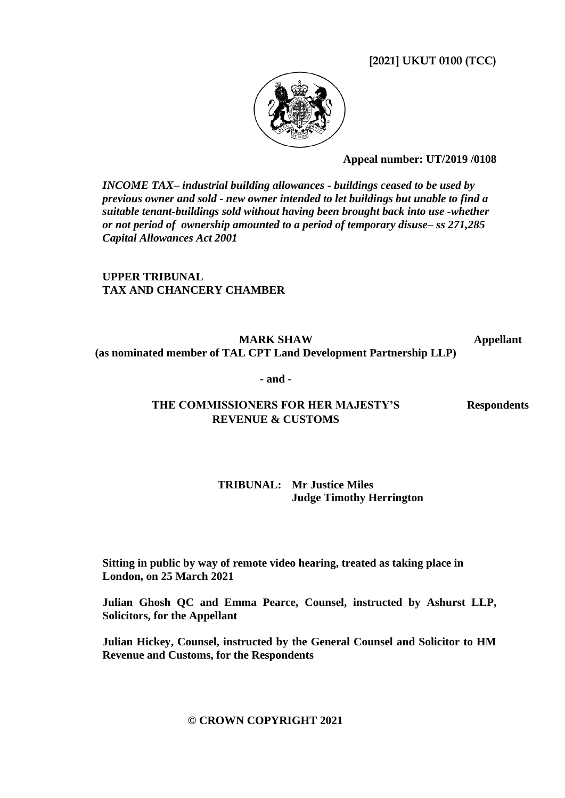**[2021] UKUT 0100 (TCC)**



**Appeal number: UT/2019 /0108**

*INCOME TAX– industrial building allowances - buildings ceased to be used by previous owner and sold - new owner intended to let buildings but unable to find a suitable tenant-buildings sold without having been brought back into use -whether or not period of ownership amounted to a period of temporary disuse– ss 271,285 Capital Allowances Act 2001*

**UPPER TRIBUNAL TAX AND CHANCERY CHAMBER**

**MARK SHAW (as nominated member of TAL CPT Land Development Partnership LLP) Appellant**

**- and -**

## **THE COMMISSIONERS FOR HER MAJESTY'S Respondents REVENUE & CUSTOMS**

### **TRIBUNAL: Mr Justice Miles Judge Timothy Herrington**

**Sitting in public by way of remote video hearing, treated as taking place in London, on 25 March 2021**

**Julian Ghosh QC and Emma Pearce, Counsel, instructed by Ashurst LLP, Solicitors, for the Appellant**

**Julian Hickey, Counsel, instructed by the General Counsel and Solicitor to HM Revenue and Customs, for the Respondents**

## **© CROWN COPYRIGHT 2021**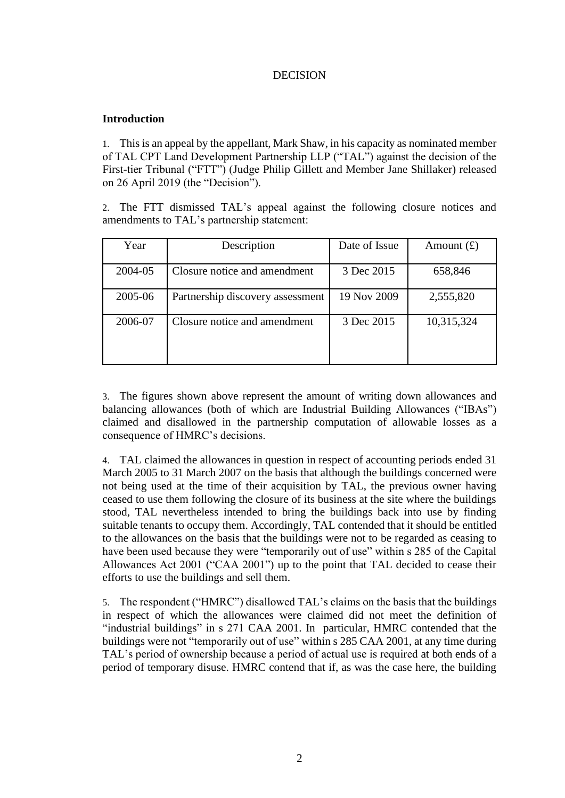## DECISION

### **Introduction**

1. This is an appeal by the appellant, Mark Shaw, in his capacity as nominated member of TAL CPT Land Development Partnership LLP ("TAL") against the decision of the First-tier Tribunal ("FTT") (Judge Philip Gillett and Member Jane Shillaker) released on 26 April 2019 (the "Decision").

2. The FTT dismissed TAL's appeal against the following closure notices and amendments to TAL's partnership statement:

| Year    | Description                      | Date of Issue | Amount $(f)$ |
|---------|----------------------------------|---------------|--------------|
| 2004-05 | Closure notice and amendment     | 3 Dec 2015    | 658,846      |
| 2005-06 | Partnership discovery assessment | 19 Nov 2009   | 2,555,820    |
| 2006-07 | Closure notice and amendment     | 3 Dec 2015    | 10,315,324   |

3. The figures shown above represent the amount of writing down allowances and balancing allowances (both of which are Industrial Building Allowances ("IBAs") claimed and disallowed in the partnership computation of allowable losses as a consequence of HMRC's decisions.

4. TAL claimed the allowances in question in respect of accounting periods ended 31 March 2005 to 31 March 2007 on the basis that although the buildings concerned were not being used at the time of their acquisition by TAL, the previous owner having ceased to use them following the closure of its business at the site where the buildings stood, TAL nevertheless intended to bring the buildings back into use by finding suitable tenants to occupy them. Accordingly, TAL contended that it should be entitled to the allowances on the basis that the buildings were not to be regarded as ceasing to have been used because they were "temporarily out of use" within s 285 of the Capital Allowances Act 2001 ("CAA 2001") up to the point that TAL decided to cease their efforts to use the buildings and sell them.

5. The respondent ("HMRC") disallowed TAL's claims on the basis that the buildings in respect of which the allowances were claimed did not meet the definition of "industrial buildings" in s 271 CAA 2001. In particular, HMRC contended that the buildings were not "temporarily out of use" within s 285 CAA 2001, at any time during TAL's period of ownership because a period of actual use is required at both ends of a period of temporary disuse. HMRC contend that if, as was the case here, the building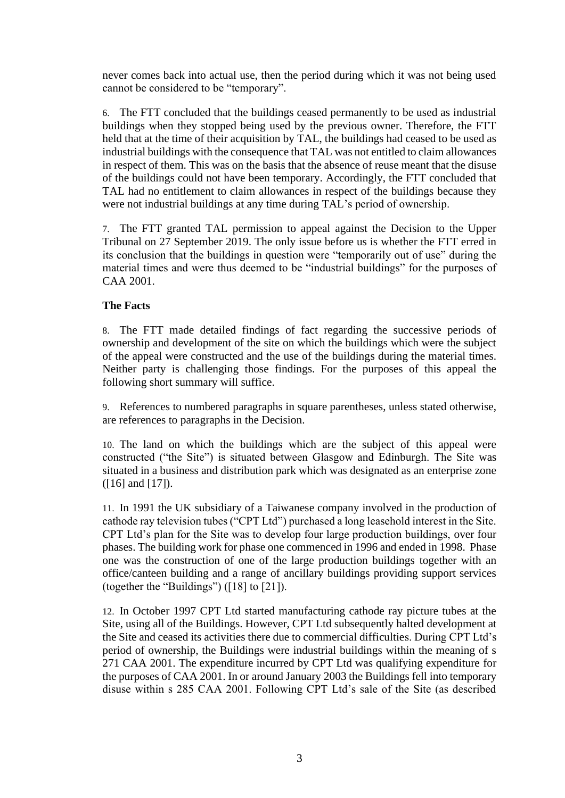never comes back into actual use, then the period during which it was not being used cannot be considered to be "temporary".

6. The FTT concluded that the buildings ceased permanently to be used as industrial buildings when they stopped being used by the previous owner. Therefore, the FTT held that at the time of their acquisition by TAL, the buildings had ceased to be used as industrial buildings with the consequence that TAL was not entitled to claim allowances in respect of them. This was on the basis that the absence of reuse meant that the disuse of the buildings could not have been temporary. Accordingly, the FTT concluded that TAL had no entitlement to claim allowances in respect of the buildings because they were not industrial buildings at any time during TAL's period of ownership.

7. The FTT granted TAL permission to appeal against the Decision to the Upper Tribunal on 27 September 2019. The only issue before us is whether the FTT erred in its conclusion that the buildings in question were "temporarily out of use" during the material times and were thus deemed to be "industrial buildings" for the purposes of CAA 2001.

### **The Facts**

8. The FTT made detailed findings of fact regarding the successive periods of ownership and development of the site on which the buildings which were the subject of the appeal were constructed and the use of the buildings during the material times. Neither party is challenging those findings. For the purposes of this appeal the following short summary will suffice.

9. References to numbered paragraphs in square parentheses, unless stated otherwise, are references to paragraphs in the Decision.

10. The land on which the buildings which are the subject of this appeal were constructed ("the Site") is situated between Glasgow and Edinburgh. The Site was situated in a business and distribution park which was designated as an enterprise zone ([16] and [17]).

11. In 1991 the UK subsidiary of a Taiwanese company involved in the production of cathode ray television tubes ("CPT Ltd") purchased a long leasehold interest in the Site. CPT Ltd's plan for the Site was to develop four large production buildings, over four phases. The building work for phase one commenced in 1996 and ended in 1998. Phase one was the construction of one of the large production buildings together with an office/canteen building and a range of ancillary buildings providing support services (together the "Buildings") ([18] to [21]).

12. In October 1997 CPT Ltd started manufacturing cathode ray picture tubes at the Site, using all of the Buildings. However, CPT Ltd subsequently halted development at the Site and ceased its activities there due to commercial difficulties. During CPT Ltd's period of ownership, the Buildings were industrial buildings within the meaning of s 271 CAA 2001. The expenditure incurred by CPT Ltd was qualifying expenditure for the purposes of CAA 2001. In or around January 2003 the Buildings fell into temporary disuse within s 285 CAA 2001. Following CPT Ltd's sale of the Site (as described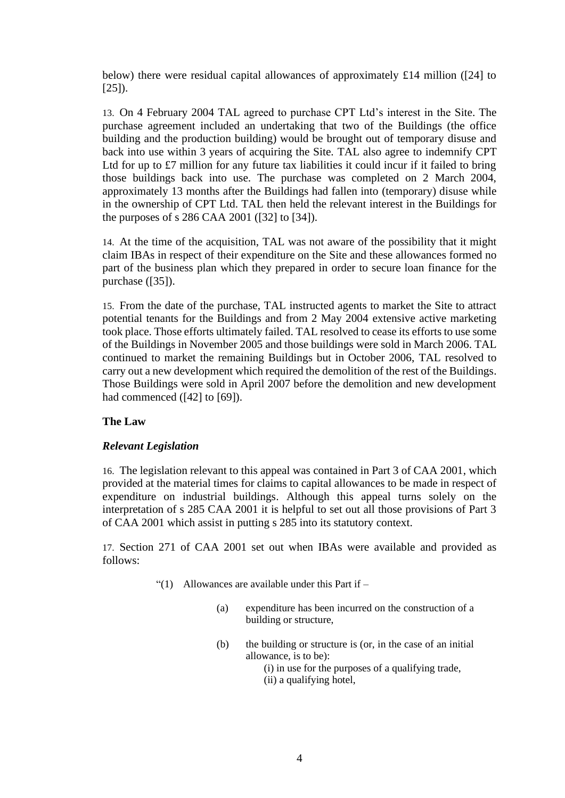below) there were residual capital allowances of approximately £14 million ([24] to [25]).

13. On 4 February 2004 TAL agreed to purchase CPT Ltd's interest in the Site. The purchase agreement included an undertaking that two of the Buildings (the office building and the production building) would be brought out of temporary disuse and back into use within 3 years of acquiring the Site. TAL also agree to indemnify CPT Ltd for up to £7 million for any future tax liabilities it could incur if it failed to bring those buildings back into use. The purchase was completed on 2 March 2004, approximately 13 months after the Buildings had fallen into (temporary) disuse while in the ownership of CPT Ltd. TAL then held the relevant interest in the Buildings for the purposes of s 286 CAA 2001 ([32] to [34]).

14. At the time of the acquisition, TAL was not aware of the possibility that it might claim IBAs in respect of their expenditure on the Site and these allowances formed no part of the business plan which they prepared in order to secure loan finance for the purchase ([35]).

15. From the date of the purchase, TAL instructed agents to market the Site to attract potential tenants for the Buildings and from 2 May 2004 extensive active marketing took place. Those efforts ultimately failed. TAL resolved to cease its efforts to use some of the Buildings in November 2005 and those buildings were sold in March 2006. TAL continued to market the remaining Buildings but in October 2006, TAL resolved to carry out a new development which required the demolition of the rest of the Buildings. Those Buildings were sold in April 2007 before the demolition and new development had commenced ([42] to [69]).

## **The Law**

### *Relevant Legislation*

16. The legislation relevant to this appeal was contained in Part 3 of CAA 2001, which provided at the material times for claims to capital allowances to be made in respect of expenditure on industrial buildings. Although this appeal turns solely on the interpretation of s 285 CAA 2001 it is helpful to set out all those provisions of Part 3 of CAA 2001 which assist in putting s 285 into its statutory context.

17. Section 271 of CAA 2001 set out when IBAs were available and provided as follows:

- "(1) Allowances are available under this Part if  $-$ 
	- (a) expenditure has been incurred on the construction of a building or structure,
	- (b) the building or structure is (or, in the case of an initial allowance, is to be): (i) in use for the purposes of a qualifying trade,

(ii) a qualifying hotel,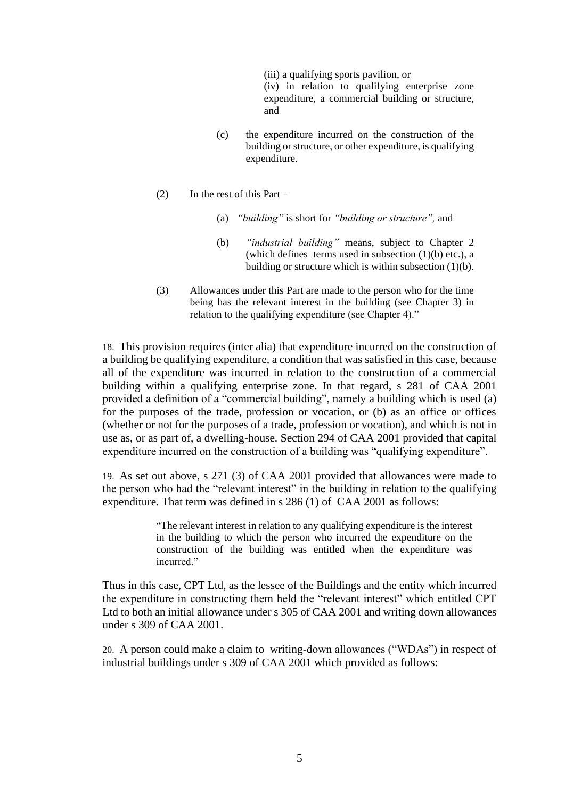(iii) a qualifying sports pavilion, or (iv) in relation to qualifying enterprise zone expenditure, a commercial building or structure, and

- (c) the expenditure incurred on the construction of the building or structure, or other expenditure, is qualifying expenditure.
- (2) In the rest of this Part
	- (a) *"building"* is short for *"building or structure",* and
	- (b) *"industrial building"* means, subject to Chapter 2 (which defines terms used in subsection  $(1)(b)$  etc.), a building or structure which is within subsection (1)(b).
- (3) Allowances under this Part are made to the person who for the time being has the relevant interest in the building (see Chapter 3) in relation to the qualifying expenditure (see Chapter 4)."

18. This provision requires (inter alia) that expenditure incurred on the construction of a building be qualifying expenditure, a condition that was satisfied in this case, because all of the expenditure was incurred in relation to the construction of a commercial building within a qualifying enterprise zone. In that regard, s 281 of CAA 2001 provided a definition of a "commercial building", namely a building which is used (a) for the purposes of the trade, profession or vocation, or (b) as an office or offices (whether or not for the purposes of a trade, profession or vocation), and which is not in use as, or as part of, a dwelling-house. Section 294 of CAA 2001 provided that capital expenditure incurred on the construction of a building was "qualifying expenditure".

19. As set out above, s 271 (3) of CAA 2001 provided that allowances were made to the person who had the "relevant interest" in the building in relation to the qualifying expenditure. That term was defined in s 286 (1) of CAA 2001 as follows:

> "The relevant interest in relation to any qualifying expenditure is the interest in the building to which the person who incurred the expenditure on the construction of the building was entitled when the expenditure was incurred."

Thus in this case, CPT Ltd, as the lessee of the Buildings and the entity which incurred the expenditure in constructing them held the "relevant interest" which entitled CPT Ltd to both an initial allowance under s 305 of CAA 2001 and writing down allowances under s 309 of CAA 2001.

20. A person could make a claim to writing-down allowances ("WDAs") in respect of industrial buildings under s 309 of CAA 2001 which provided as follows: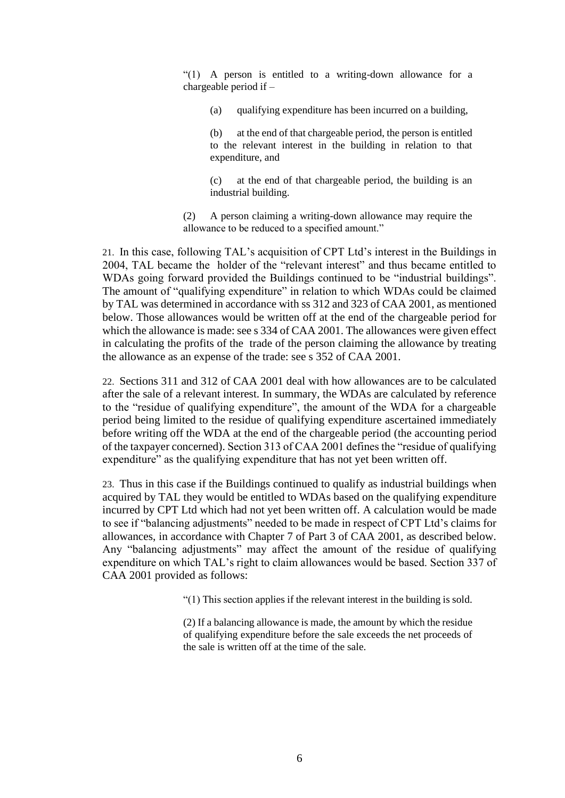"(1) A person is entitled to a writing-down allowance for a chargeable period if –

(a) qualifying expenditure has been incurred on a building,

(b) at the end of that chargeable period, the person is entitled to the relevant interest in the building in relation to that expenditure, and

(c) at the end of that chargeable period, the building is an industrial building.

(2) A person claiming a writing-down allowance may require the allowance to be reduced to a specified amount."

21. In this case, following TAL's acquisition of CPT Ltd's interest in the Buildings in 2004, TAL became the holder of the "relevant interest" and thus became entitled to WDAs going forward provided the Buildings continued to be "industrial buildings". The amount of "qualifying expenditure" in relation to which WDAs could be claimed by TAL was determined in accordance with ss 312 and 323 of CAA 2001, as mentioned below. Those allowances would be written off at the end of the chargeable period for which the allowance is made: see s 334 of CAA 2001. The allowances were given effect in calculating the profits of the trade of the person claiming the allowance by treating the allowance as an expense of the trade: see s 352 of CAA 2001.

22. Sections 311 and 312 of CAA 2001 deal with how allowances are to be calculated after the sale of a relevant interest. In summary, the WDAs are calculated by reference to the "residue of qualifying expenditure", the amount of the WDA for a chargeable period being limited to the residue of qualifying expenditure ascertained immediately before writing off the WDA at the end of the chargeable period (the accounting period of the taxpayer concerned). Section 313 of CAA 2001 defines the "residue of qualifying expenditure" as the qualifying expenditure that has not yet been written off.

23. Thus in this case if the Buildings continued to qualify as industrial buildings when acquired by TAL they would be entitled to WDAs based on the qualifying expenditure incurred by CPT Ltd which had not yet been written off. A calculation would be made to see if "balancing adjustments" needed to be made in respect of CPT Ltd's claims for allowances, in accordance with Chapter 7 of Part 3 of CAA 2001, as described below. Any "balancing adjustments" may affect the amount of the residue of qualifying expenditure on which TAL's right to claim allowances would be based. Section 337 of CAA 2001 provided as follows:

"(1) This section applies if the relevant interest in the building is sold.

(2) If a balancing allowance is made, the amount by which the residue of qualifying expenditure before the sale exceeds the net proceeds of the sale is written off at the time of the sale.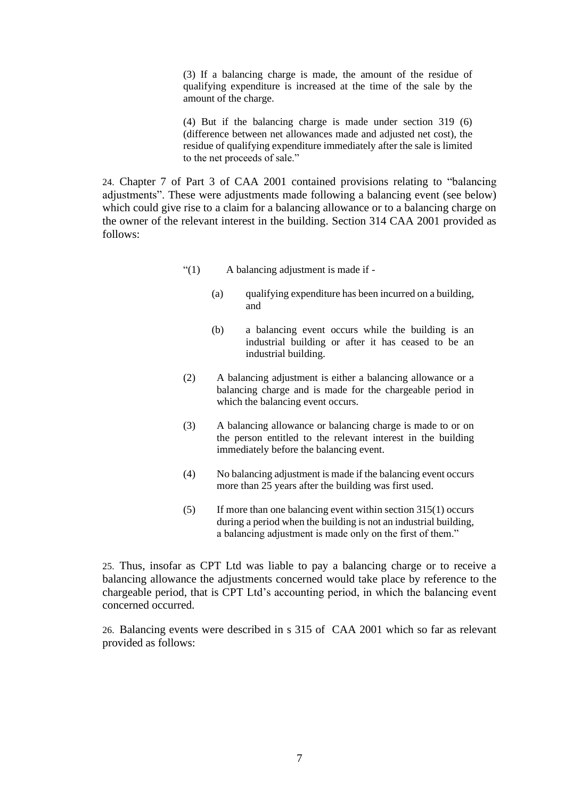(3) If a balancing charge is made, the amount of the residue of qualifying expenditure is increased at the time of the sale by the amount of the charge.

(4) But if the balancing charge is made under section 319 (6) (difference between net allowances made and adjusted net cost), the residue of qualifying expenditure immediately after the sale is limited to the net proceeds of sale."

24. Chapter 7 of Part 3 of CAA 2001 contained provisions relating to "balancing adjustments". These were adjustments made following a balancing event (see below) which could give rise to a claim for a balancing allowance or to a balancing charge on the owner of the relevant interest in the building. Section 314 CAA 2001 provided as follows:

- "(1) A balancing adjustment is made if
	- (a) qualifying expenditure has been incurred on a building, and
	- (b) a balancing event occurs while the building is an industrial building or after it has ceased to be an industrial building.
- (2) A balancing adjustment is either a balancing allowance or a balancing charge and is made for the chargeable period in which the balancing event occurs.
- (3) A balancing allowance or balancing charge is made to or on the person entitled to the relevant interest in the building immediately before the balancing event.
- (4) No balancing adjustment is made if the balancing event occurs more than 25 years after the building was first used.
- (5) If more than one balancing event within section 315(1) occurs during a period when the building is not an industrial building, a balancing adjustment is made only on the first of them."

25. Thus, insofar as CPT Ltd was liable to pay a balancing charge or to receive a balancing allowance the adjustments concerned would take place by reference to the chargeable period, that is CPT Ltd's accounting period, in which the balancing event concerned occurred.

26. Balancing events were described in s 315 of CAA 2001 which so far as relevant provided as follows: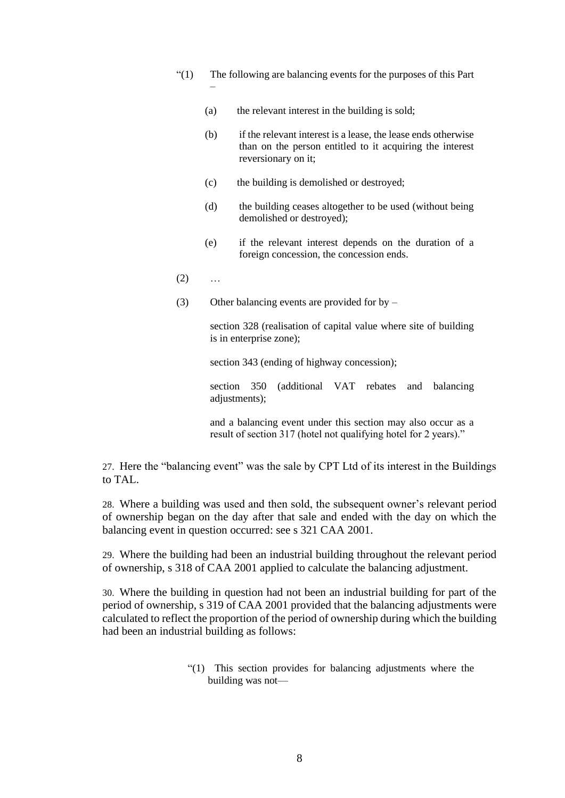- "(1) The following are balancing events for the purposes of this Part –
	- (a) the relevant interest in the building is sold;
	- (b) if the relevant interest is a lease, the lease ends otherwise than on the person entitled to it acquiring the interest reversionary on it;
	- (c) the building is demolished or destroyed;
	- (d) the building ceases altogether to be used (without being demolished or destroyed);
	- (e) if the relevant interest depends on the duration of a foreign concession, the concession ends.
- $(2) \qquad ...$
- (3) Other balancing events are provided for by –

section 328 (realisation of capital value where site of building is in enterprise zone);

section 343 (ending of highway concession);

section 350 (additional VAT rebates and balancing adjustments);

and a balancing event under this section may also occur as a result of section 317 (hotel not qualifying hotel for 2 years)."

27. Here the "balancing event" was the sale by CPT Ltd of its interest in the Buildings to TAL.

28. Where a building was used and then sold, the subsequent owner's relevant period of ownership began on the day after that sale and ended with the day on which the balancing event in question occurred: see s 321 CAA 2001.

29. Where the building had been an industrial building throughout the relevant period of ownership, s 318 of CAA 2001 applied to calculate the balancing adjustment.

30. Where the building in question had not been an industrial building for part of the period of ownership, s 319 of CAA 2001 provided that the balancing adjustments were calculated to reflect the proportion of the period of ownership during which the building had been an industrial building as follows:

> "(1) This section provides for balancing adjustments where the building was not—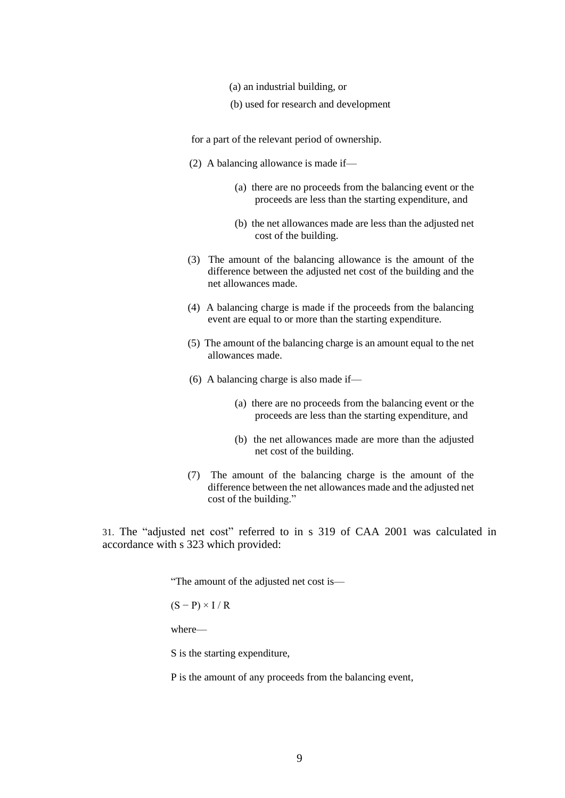- (a) an industrial building, or
- (b) used for research and development

for a part of the relevant period of ownership.

- (2) A balancing allowance is made if—
	- (a) there are no proceeds from the balancing event or the proceeds are less than the starting expenditure, and
	- (b) the net allowances made are less than the adjusted net cost of the building.
- (3) The amount of the balancing allowance is the amount of the difference between the adjusted net cost of the building and the net allowances made.
- (4) A balancing charge is made if the proceeds from the balancing event are equal to or more than the starting expenditure.
- (5) The amount of the balancing charge is an amount equal to the net allowances made.
- (6) A balancing charge is also made if—
	- (a) there are no proceeds from the balancing event or the proceeds are less than the starting expenditure, and
	- (b) the net allowances made are more than the adjusted net cost of the building.
- (7) The amount of the balancing charge is the amount of the difference between the net allowances made and the adjusted net cost of the building."

31. The "adjusted net cost" referred to in s 319 of CAA 2001 was calculated in accordance with s 323 which provided:

"The amount of the adjusted net cost is—

 $(S - P) \times I / R$ 

where—

S is the starting expenditure,

P is the amount of any proceeds from the balancing event,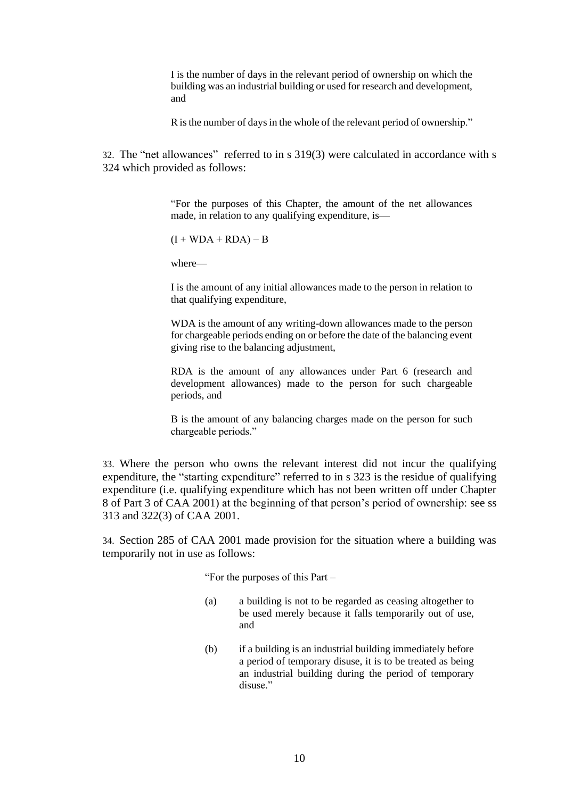I is the number of days in the relevant period of ownership on which the building was an industrial building or used for research and development, and

R is the number of days in the whole of the relevant period of ownership."

32. The "net allowances" referred to in s 319(3) were calculated in accordance with s 324 which provided as follows:

> "For the purposes of this Chapter, the amount of the net allowances made, in relation to any qualifying expenditure, is—

 $(I + WDA + RDA) - B$ 

where—

I is the amount of any initial allowances made to the person in relation to that qualifying expenditure,

WDA is the amount of any writing-down allowances made to the person for chargeable periods ending on or before the date of the balancing event giving rise to the balancing adjustment,

RDA is the amount of any allowances under Part 6 (research and development allowances) made to the person for such chargeable periods, and

B is the amount of any balancing charges made on the person for such chargeable periods."

33. Where the person who owns the relevant interest did not incur the qualifying expenditure, the "starting expenditure" referred to in s 323 is the residue of qualifying expenditure (i.e. qualifying expenditure which has not been written off under Chapter 8 of Part 3 of CAA 2001) at the beginning of that person's period of ownership: see ss 313 and 322(3) of CAA 2001.

34. Section 285 of CAA 2001 made provision for the situation where a building was temporarily not in use as follows:

"For the purposes of this Part –

- (a) a building is not to be regarded as ceasing altogether to be used merely because it falls temporarily out of use, and
- (b) if a building is an industrial building immediately before a period of temporary disuse, it is to be treated as being an industrial building during the period of temporary disuse."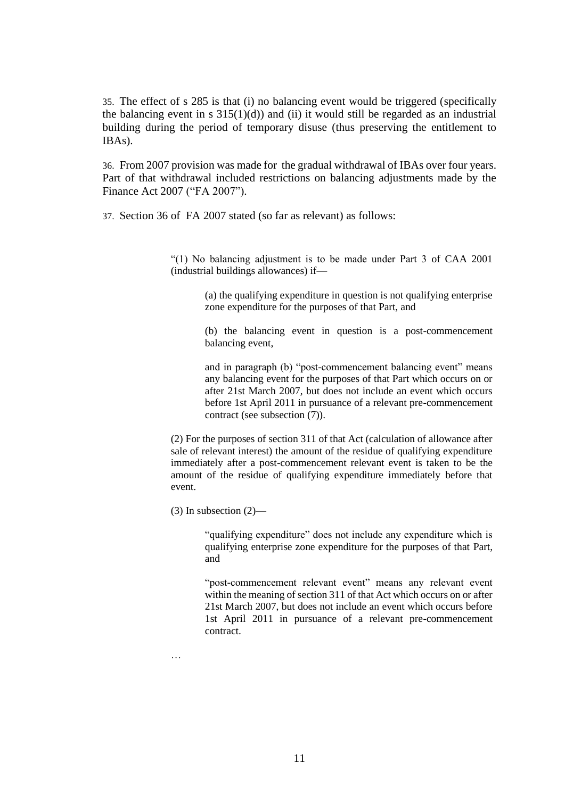35. The effect of s 285 is that (i) no balancing event would be triggered (specifically the balancing event in s  $315(1)(d)$  and (ii) it would still be regarded as an industrial building during the period of temporary disuse (thus preserving the entitlement to IBAs).

36. From 2007 provision was made for the gradual withdrawal of IBAs over four years. Part of that withdrawal included restrictions on balancing adjustments made by the Finance Act 2007 ("FA 2007").

37. Section 36 of FA 2007 stated (so far as relevant) as follows:

"(1) No balancing adjustment is to be made under Part 3 of CAA 2001 (industrial buildings allowances) if—

> (a) the qualifying expenditure in question is not qualifying enterprise zone expenditure for the purposes of that Part, and

> (b) the balancing event in question is a post-commencement balancing event,

> and in paragraph (b) "post-commencement balancing event" means any balancing event for the purposes of that Part which occurs on or after 21st March 2007, but does not include an event which occurs before 1st April 2011 in pursuance of a relevant pre-commencement contract (see subsection (7)).

(2) For the purposes of section 311 of that Act (calculation of allowance after sale of relevant interest) the amount of the residue of qualifying expenditure immediately after a post-commencement relevant event is taken to be the amount of the residue of qualifying expenditure immediately before that event.

 $(3)$  In subsection  $(2)$ —

"qualifying expenditure" does not include any expenditure which is qualifying enterprise zone expenditure for the purposes of that Part, and

"post-commencement relevant event" means any relevant event within the meaning of section 311 of that Act which occurs on or after 21st March 2007, but does not include an event which occurs before 1st April 2011 in pursuance of a relevant pre-commencement contract.

…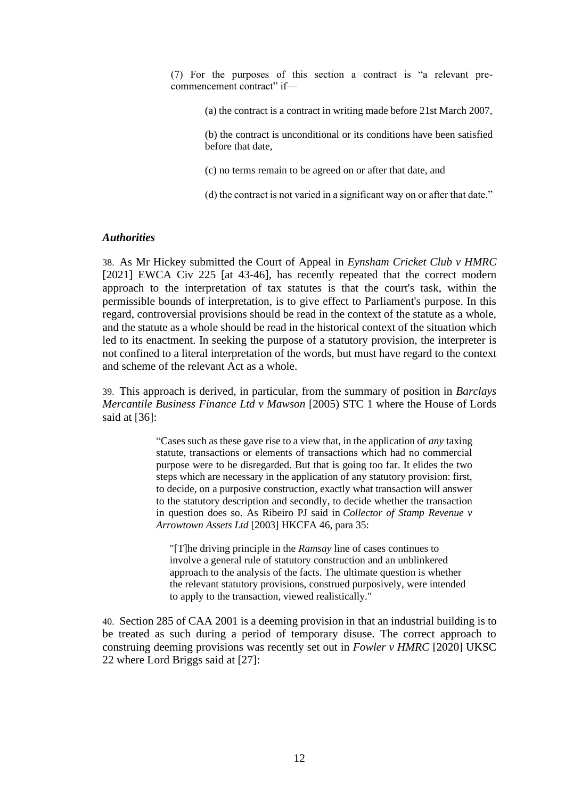(7) For the purposes of this section a contract is "a relevant precommencement contract" if-

(a) the contract is a contract in writing made before 21st March 2007,

(b) the contract is unconditional or its conditions have been satisfied before that date,

(c) no terms remain to be agreed on or after that date, and

(d) the contract is not varied in a significant way on or after that date."

#### *Authorities*

38. As Mr Hickey submitted the Court of Appeal in *Eynsham Cricket Club v HMRC*  [2021] EWCA Civ 225 [at 43-46], has recently repeated that the correct modern approach to the interpretation of tax statutes is that the court's task, within the permissible bounds of interpretation, is to give effect to Parliament's purpose. In this regard, controversial provisions should be read in the context of the statute as a whole, and the statute as a whole should be read in the historical context of the situation which led to its enactment. In seeking the purpose of a statutory provision, the interpreter is not confined to a literal interpretation of the words, but must have regard to the context and scheme of the relevant Act as a whole.

39. This approach is derived, in particular, from the summary of position in *Barclays Mercantile Business Finance Ltd v Mawson* [2005) STC 1 where the House of Lords said at [36]:

> "Cases such as these gave rise to a view that, in the application of *any* taxing statute, transactions or elements of transactions which had no commercial purpose were to be disregarded. But that is going too far. It elides the two steps which are necessary in the application of any statutory provision: first, to decide, on a purposive construction, exactly what transaction will answer to the statutory description and secondly, to decide whether the transaction in question does so. As Ribeiro PJ said in *Collector of Stamp Revenue v Arrowtown Assets Ltd* [2003] HKCFA 46, para 35:

"[T]he driving principle in the *Ramsay* line of cases continues to involve a general rule of statutory construction and an unblinkered approach to the analysis of the facts. The ultimate question is whether the relevant statutory provisions, construed purposively, were intended to apply to the transaction, viewed realistically."

40. Section 285 of CAA 2001 is a deeming provision in that an industrial building is to be treated as such during a period of temporary disuse. The correct approach to construing deeming provisions was recently set out in *Fowler v HMRC* [2020] UKSC 22 where Lord Briggs said at [27]: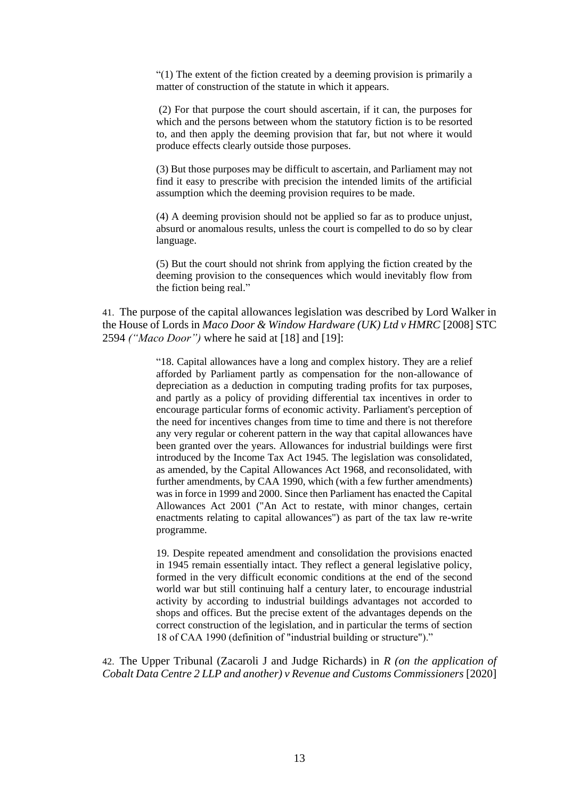"(1) The extent of the fiction created by a deeming provision is primarily a matter of construction of the statute in which it appears.

(2) For that purpose the court should ascertain, if it can, the purposes for which and the persons between whom the statutory fiction is to be resorted to, and then apply the deeming provision that far, but not where it would produce effects clearly outside those purposes.

(3) But those purposes may be difficult to ascertain, and Parliament may not find it easy to prescribe with precision the intended limits of the artificial assumption which the deeming provision requires to be made.

(4) A deeming provision should not be applied so far as to produce unjust, absurd or anomalous results, unless the court is compelled to do so by clear language.

(5) But the court should not shrink from applying the fiction created by the deeming provision to the consequences which would inevitably flow from the fiction being real."

41. The purpose of the capital allowances legislation was described by Lord Walker in the House of Lords in *Maco Door & Window Hardware (UK) Ltd v HMRC* [2008] STC 2594 *("Maco Door")* where he said at [18] and [19]:

> "18. Capital allowances have a long and complex history. They are a relief afforded by Parliament partly as compensation for the non-allowance of depreciation as a deduction in computing trading profits for tax purposes, and partly as a policy of providing differential tax incentives in order to encourage particular forms of economic activity. Parliament's perception of the need for incentives changes from time to time and there is not therefore any very regular or coherent pattern in the way that capital allowances have been granted over the years. Allowances for industrial buildings were first introduced by the Income Tax Act 1945. The legislation was consolidated, as amended, by the Capital Allowances Act 1968, and reconsolidated, with further amendments, by CAA 1990, which (with a few further amendments) was in force in 1999 and 2000. Since then Parliament has enacted the Capital Allowances Act 2001 ("An Act to restate, with minor changes, certain enactments relating to capital allowances") as part of the tax law re-write programme.

> 19. Despite repeated amendment and consolidation the provisions enacted in 1945 remain essentially intact. They reflect a general legislative policy, formed in the very difficult economic conditions at the end of the second world war but still continuing half a century later, to encourage industrial activity by according to industrial buildings advantages not accorded to shops and offices. But the precise extent of the advantages depends on the correct construction of the legislation, and in particular the terms of section 18 of CAA 1990 (definition of "industrial building or structure")."

42. The Upper Tribunal (Zacaroli J and Judge Richards) in *R (on the application of Cobalt Data Centre 2 LLP and another) v Revenue and Customs Commissioners* [2020]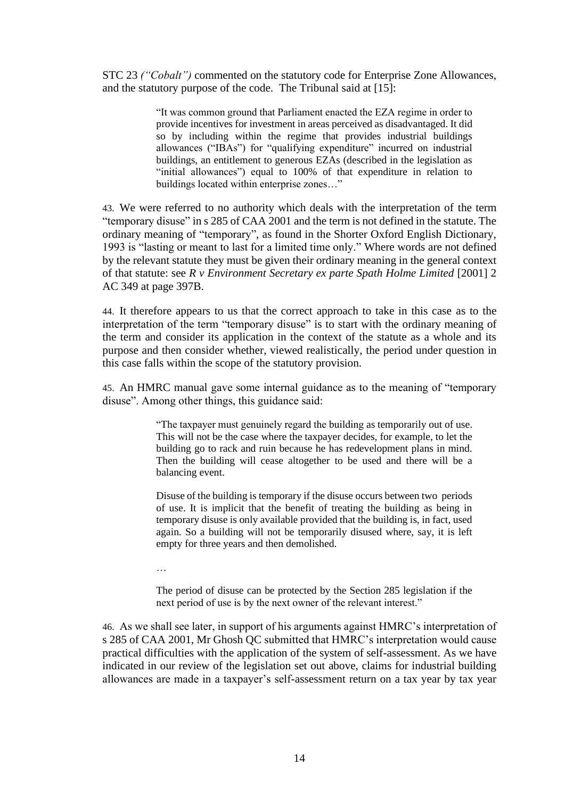STC 23 *("Cobalt")* commented on the statutory code for Enterprise Zone Allowances, and the statutory purpose of the code. The Tribunal said at [15]:

> "It was common ground that Parliament enacted the EZA regime in order to provide incentives for investment in areas perceived as disadvantaged. It did so by including within the regime that provides industrial buildings allowances ("IBAs") for "qualifying expenditure" incurred on industrial buildings, an entitlement to generous EZAs (described in the legislation as "initial allowances") equal to 100% of that expenditure in relation to buildings located within enterprise zones…"

43. We were referred to no authority which deals with the interpretation of the term "temporary disuse" in s 285 of CAA 2001 and the term is not defined in the statute. The ordinary meaning of "temporary", as found in the Shorter Oxford English Dictionary, 1993 is "lasting or meant to last for a limited time only." Where words are not defined by the relevant statute they must be given their ordinary meaning in the general context of that statute: see *R v Environment Secretary ex parte Spath Holme Limited* [2001] 2 AC 349 at page 397B.

44. It therefore appears to us that the correct approach to take in this case as to the interpretation of the term "temporary disuse" is to start with the ordinary meaning of the term and consider its application in the context of the statute as a whole and its purpose and then consider whether, viewed realistically, the period under question in this case falls within the scope of the statutory provision.

45. An HMRC manual gave some internal guidance as to the meaning of "temporary disuse". Among other things, this guidance said:

> "The taxpayer must genuinely regard the building as temporarily out of use. This will not be the case where the taxpayer decides, for example, to let the building go to rack and ruin because he has redevelopment plans in mind. Then the building will cease altogether to be used and there will be a balancing event.

> Disuse of the building is temporary if the disuse occurs between two periods of use. It is implicit that the benefit of treating the building as being in temporary disuse is only available provided that the building is, in fact, used again. So a building will not be temporarily disused where, say, it is left empty for three years and then demolished.

…

The period of disuse can be protected by the Section 285 legislation if the next period of use is by the next owner of the relevant interest."

46. As we shall see later, in support of his arguments against HMRC's interpretation of s 285 of CAA 2001, Mr Ghosh QC submitted that HMRC's interpretation would cause practical difficulties with the application of the system of self-assessment. As we have indicated in our review of the legislation set out above, claims for industrial building allowances are made in a taxpayer's self-assessment return on a tax year by tax year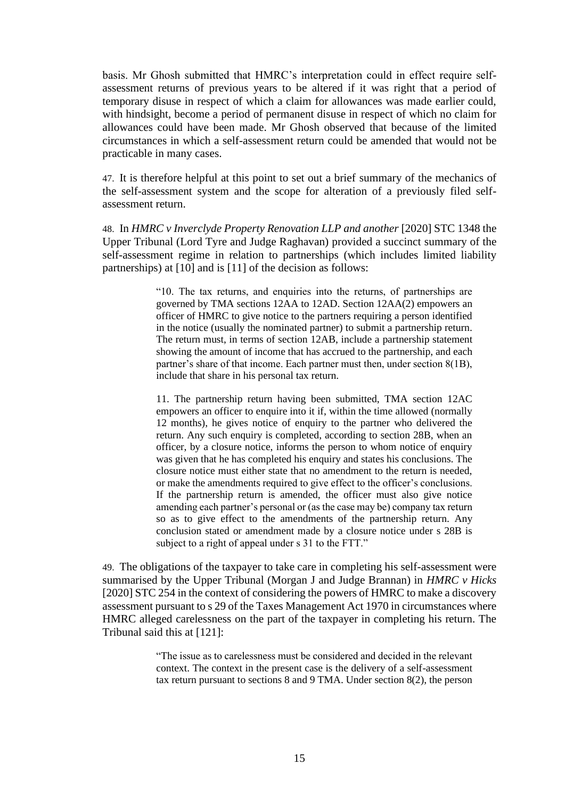basis. Mr Ghosh submitted that HMRC's interpretation could in effect require selfassessment returns of previous years to be altered if it was right that a period of temporary disuse in respect of which a claim for allowances was made earlier could, with hindsight, become a period of permanent disuse in respect of which no claim for allowances could have been made. Mr Ghosh observed that because of the limited circumstances in which a self-assessment return could be amended that would not be practicable in many cases.

47. It is therefore helpful at this point to set out a brief summary of the mechanics of the self-assessment system and the scope for alteration of a previously filed selfassessment return.

48. In *HMRC v Inverclyde Property Renovation LLP and another* [2020] STC 1348 the Upper Tribunal (Lord Tyre and Judge Raghavan) provided a succinct summary of the self-assessment regime in relation to partnerships (which includes limited liability partnerships) at [10] and is [11] of the decision as follows:

> "10. The tax returns, and enquiries into the returns, of partnerships are governed by TMA sections 12AA to 12AD. Section 12AA(2) empowers an officer of HMRC to give notice to the partners requiring a person identified in the notice (usually the nominated partner) to submit a partnership return. The return must, in terms of section 12AB, include a partnership statement showing the amount of income that has accrued to the partnership, and each partner's share of that income. Each partner must then, under section 8(1B), include that share in his personal tax return.

> 11. The partnership return having been submitted, TMA section 12AC empowers an officer to enquire into it if, within the time allowed (normally 12 months), he gives notice of enquiry to the partner who delivered the return. Any such enquiry is completed, according to section 28B, when an officer, by a closure notice, informs the person to whom notice of enquiry was given that he has completed his enquiry and states his conclusions. The closure notice must either state that no amendment to the return is needed, or make the amendments required to give effect to the officer's conclusions. If the partnership return is amended, the officer must also give notice amending each partner's personal or (as the case may be) company tax return so as to give effect to the amendments of the partnership return. Any conclusion stated or amendment made by a closure notice under s 28B is subject to a right of appeal under s 31 to the FTT."

49. The obligations of the taxpayer to take care in completing his self-assessment were summarised by the Upper Tribunal (Morgan J and Judge Brannan) in *HMRC v Hicks*  [2020] STC 254 in the context of considering the powers of HMRC to make a discovery assessment pursuant to s 29 of the Taxes Management Act 1970 in circumstances where HMRC alleged carelessness on the part of the taxpayer in completing his return. The Tribunal said this at [121]:

> "The issue as to carelessness must be considered and decided in the relevant context. The context in the present case is the delivery of a self-assessment tax return pursuant to sections 8 and 9 TMA. Under section 8(2), the person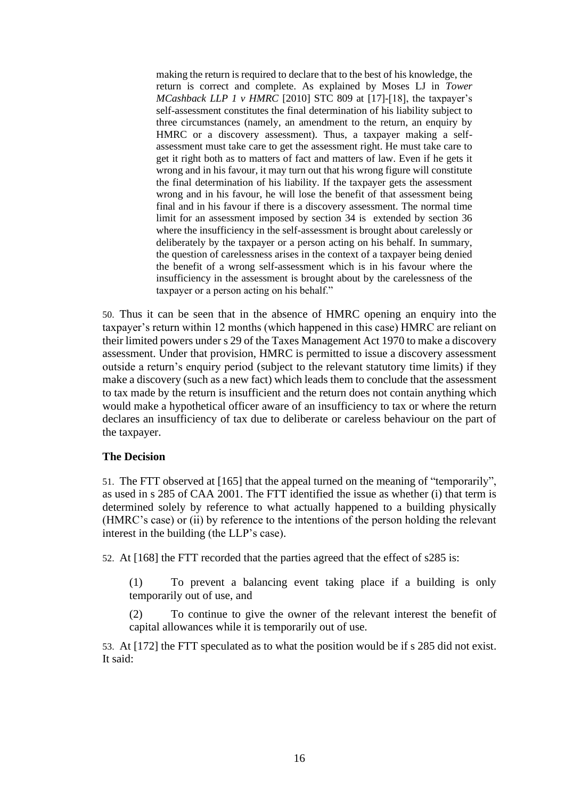making the return is required to declare that to the best of his knowledge, the return is correct and complete. As explained by Moses LJ in *Tower MCashback LLP 1 v HMRC* [2010] STC 809 at [17]-[18], the taxpayer's self-assessment constitutes the final determination of his liability subject to three circumstances (namely, an amendment to the return, an enquiry by HMRC or a discovery assessment). Thus, a taxpayer making a selfassessment must take care to get the assessment right. He must take care to get it right both as to matters of fact and matters of law. Even if he gets it wrong and in his favour, it may turn out that his wrong figure will constitute the final determination of his liability. If the taxpayer gets the assessment wrong and in his favour, he will lose the benefit of that assessment being final and in his favour if there is a discovery assessment. The normal time limit for an assessment imposed by section 34 is extended by section 36 where the insufficiency in the self-assessment is brought about carelessly or deliberately by the taxpayer or a person acting on his behalf. In summary, the question of carelessness arises in the context of a taxpayer being denied the benefit of a wrong self-assessment which is in his favour where the insufficiency in the assessment is brought about by the carelessness of the taxpayer or a person acting on his behalf."

50. Thus it can be seen that in the absence of HMRC opening an enquiry into the taxpayer's return within 12 months (which happened in this case) HMRC are reliant on their limited powers under s 29 of the Taxes Management Act 1970 to make a discovery assessment. Under that provision, HMRC is permitted to issue a discovery assessment outside a return's enquiry period (subject to the relevant statutory time limits) if they make a discovery (such as a new fact) which leads them to conclude that the assessment to tax made by the return is insufficient and the return does not contain anything which would make a hypothetical officer aware of an insufficiency to tax or where the return declares an insufficiency of tax due to deliberate or careless behaviour on the part of the taxpayer.

#### **The Decision**

51. The FTT observed at [165] that the appeal turned on the meaning of "temporarily", as used in s 285 of CAA 2001. The FTT identified the issue as whether (i) that term is determined solely by reference to what actually happened to a building physically (HMRC's case) or (ii) by reference to the intentions of the person holding the relevant interest in the building (the LLP's case).

52. At [168] the FTT recorded that the parties agreed that the effect of s285 is:

(1) To prevent a balancing event taking place if a building is only temporarily out of use, and

(2) To continue to give the owner of the relevant interest the benefit of capital allowances while it is temporarily out of use.

53. At [172] the FTT speculated as to what the position would be if s 285 did not exist. It said: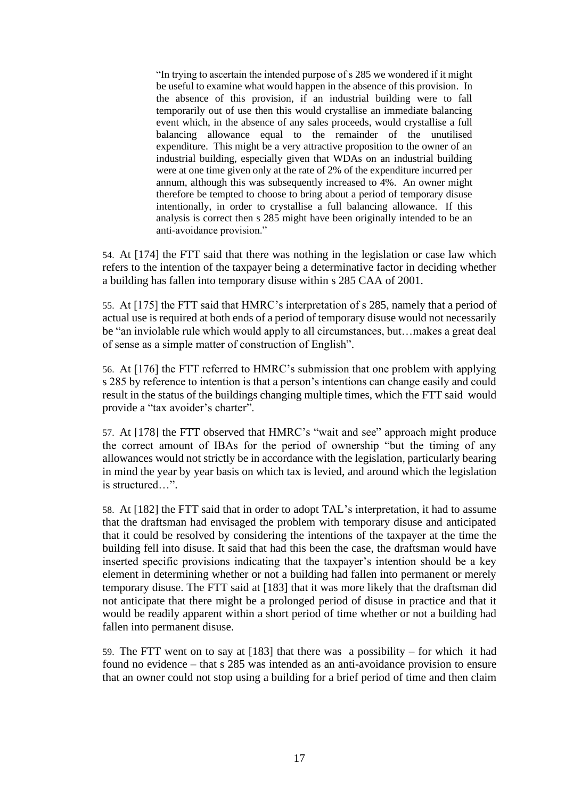"In trying to ascertain the intended purpose of s 285 we wondered if it might be useful to examine what would happen in the absence of this provision. In the absence of this provision, if an industrial building were to fall temporarily out of use then this would crystallise an immediate balancing event which, in the absence of any sales proceeds, would crystallise a full balancing allowance equal to the remainder of the unutilised expenditure. This might be a very attractive proposition to the owner of an industrial building, especially given that WDAs on an industrial building were at one time given only at the rate of 2% of the expenditure incurred per annum, although this was subsequently increased to 4%. An owner might therefore be tempted to choose to bring about a period of temporary disuse intentionally, in order to crystallise a full balancing allowance. If this analysis is correct then s 285 might have been originally intended to be an anti-avoidance provision."

54. At [174] the FTT said that there was nothing in the legislation or case law which refers to the intention of the taxpayer being a determinative factor in deciding whether a building has fallen into temporary disuse within s 285 CAA of 2001.

55. At [175] the FTT said that HMRC's interpretation of s 285, namely that a period of actual use is required at both ends of a period of temporary disuse would not necessarily be "an inviolable rule which would apply to all circumstances, but…makes a great deal of sense as a simple matter of construction of English".

56. At [176] the FTT referred to HMRC's submission that one problem with applying s 285 by reference to intention is that a person's intentions can change easily and could result in the status of the buildings changing multiple times, which the FTT said would provide a "tax avoider's charter".

57. At [178] the FTT observed that HMRC's "wait and see" approach might produce the correct amount of IBAs for the period of ownership "but the timing of any allowances would not strictly be in accordance with the legislation, particularly bearing in mind the year by year basis on which tax is levied, and around which the legislation is structured  $"$ .

58. At [182] the FTT said that in order to adopt TAL's interpretation, it had to assume that the draftsman had envisaged the problem with temporary disuse and anticipated that it could be resolved by considering the intentions of the taxpayer at the time the building fell into disuse. It said that had this been the case, the draftsman would have inserted specific provisions indicating that the taxpayer's intention should be a key element in determining whether or not a building had fallen into permanent or merely temporary disuse. The FTT said at [183] that it was more likely that the draftsman did not anticipate that there might be a prolonged period of disuse in practice and that it would be readily apparent within a short period of time whether or not a building had fallen into permanent disuse.

59. The FTT went on to say at [183] that there was a possibility – for which it had found no evidence – that s 285 was intended as an anti-avoidance provision to ensure that an owner could not stop using a building for a brief period of time and then claim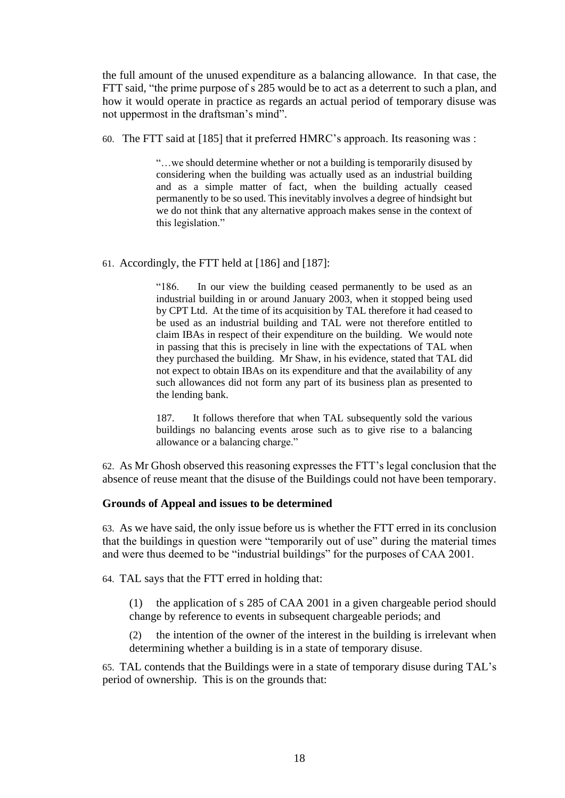the full amount of the unused expenditure as a balancing allowance. In that case, the FTT said, "the prime purpose of s 285 would be to act as a deterrent to such a plan, and how it would operate in practice as regards an actual period of temporary disuse was not uppermost in the draftsman's mind".

60. The FTT said at [185] that it preferred HMRC's approach. Its reasoning was :

"…we should determine whether or not a building is temporarily disused by considering when the building was actually used as an industrial building and as a simple matter of fact, when the building actually ceased permanently to be so used. This inevitably involves a degree of hindsight but we do not think that any alternative approach makes sense in the context of this legislation."

61. Accordingly, the FTT held at [186] and [187]:

"186. In our view the building ceased permanently to be used as an industrial building in or around January 2003, when it stopped being used by CPT Ltd. At the time of its acquisition by TAL therefore it had ceased to be used as an industrial building and TAL were not therefore entitled to claim IBAs in respect of their expenditure on the building. We would note in passing that this is precisely in line with the expectations of TAL when they purchased the building. Mr Shaw, in his evidence, stated that TAL did not expect to obtain IBAs on its expenditure and that the availability of any such allowances did not form any part of its business plan as presented to the lending bank.

187. It follows therefore that when TAL subsequently sold the various buildings no balancing events arose such as to give rise to a balancing allowance or a balancing charge."

62. As Mr Ghosh observed this reasoning expresses the FTT's legal conclusion that the absence of reuse meant that the disuse of the Buildings could not have been temporary.

### **Grounds of Appeal and issues to be determined**

63. As we have said, the only issue before us is whether the FTT erred in its conclusion that the buildings in question were "temporarily out of use" during the material times and were thus deemed to be "industrial buildings" for the purposes of CAA 2001.

64. TAL says that the FTT erred in holding that:

(1) the application of s 285 of CAA 2001 in a given chargeable period should change by reference to events in subsequent chargeable periods; and

(2) the intention of the owner of the interest in the building is irrelevant when determining whether a building is in a state of temporary disuse.

65. TAL contends that the Buildings were in a state of temporary disuse during TAL's period of ownership. This is on the grounds that: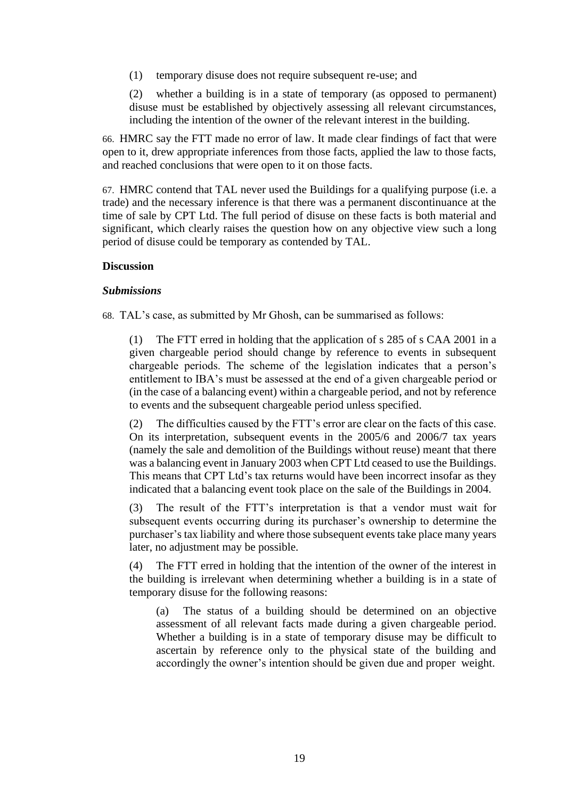(1) temporary disuse does not require subsequent re-use; and

(2) whether a building is in a state of temporary (as opposed to permanent) disuse must be established by objectively assessing all relevant circumstances, including the intention of the owner of the relevant interest in the building.

66. HMRC say the FTT made no error of law. It made clear findings of fact that were open to it, drew appropriate inferences from those facts, applied the law to those facts, and reached conclusions that were open to it on those facts.

67. HMRC contend that TAL never used the Buildings for a qualifying purpose (i.e. a trade) and the necessary inference is that there was a permanent discontinuance at the time of sale by CPT Ltd. The full period of disuse on these facts is both material and significant, which clearly raises the question how on any objective view such a long period of disuse could be temporary as contended by TAL.

#### **Discussion**

#### *Submissions*

68. TAL's case, as submitted by Mr Ghosh, can be summarised as follows:

(1) The FTT erred in holding that the application of s 285 of s CAA 2001 in a given chargeable period should change by reference to events in subsequent chargeable periods. The scheme of the legislation indicates that a person's entitlement to IBA's must be assessed at the end of a given chargeable period or (in the case of a balancing event) within a chargeable period, and not by reference to events and the subsequent chargeable period unless specified.

(2) The difficulties caused by the FTT's error are clear on the facts of this case. On its interpretation, subsequent events in the 2005/6 and 2006/7 tax years (namely the sale and demolition of the Buildings without reuse) meant that there was a balancing event in January 2003 when CPT Ltd ceased to use the Buildings. This means that CPT Ltd's tax returns would have been incorrect insofar as they indicated that a balancing event took place on the sale of the Buildings in 2004.

(3) The result of the FTT's interpretation is that a vendor must wait for subsequent events occurring during its purchaser's ownership to determine the purchaser's tax liability and where those subsequent events take place many years later, no adjustment may be possible.

The FTT erred in holding that the intention of the owner of the interest in the building is irrelevant when determining whether a building is in a state of temporary disuse for the following reasons:

(a) The status of a building should be determined on an objective assessment of all relevant facts made during a given chargeable period. Whether a building is in a state of temporary disuse may be difficult to ascertain by reference only to the physical state of the building and accordingly the owner's intention should be given due and proper weight.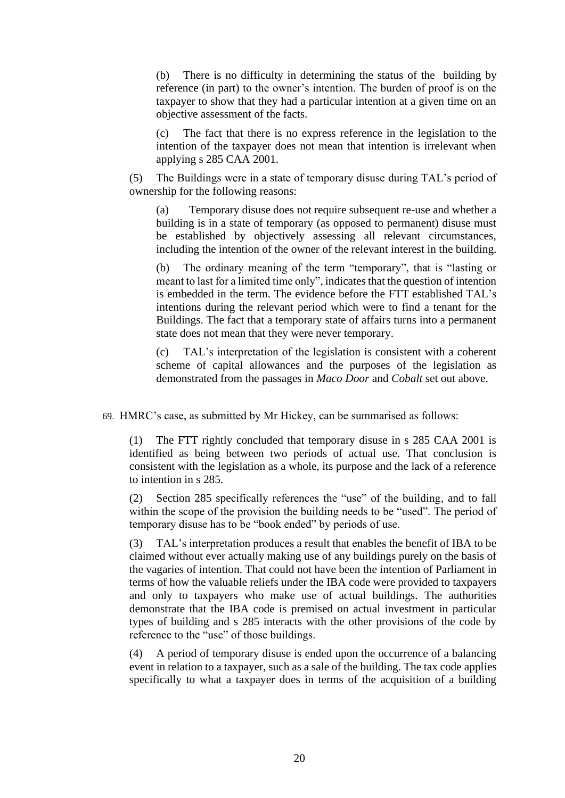(b) There is no difficulty in determining the status of the building by reference (in part) to the owner's intention. The burden of proof is on the taxpayer to show that they had a particular intention at a given time on an objective assessment of the facts.

(c) The fact that there is no express reference in the legislation to the intention of the taxpayer does not mean that intention is irrelevant when applying s 285 CAA 2001.

(5) The Buildings were in a state of temporary disuse during TAL's period of ownership for the following reasons:

(a) Temporary disuse does not require subsequent re-use and whether a building is in a state of temporary (as opposed to permanent) disuse must be established by objectively assessing all relevant circumstances, including the intention of the owner of the relevant interest in the building.

(b) The ordinary meaning of the term "temporary", that is "lasting or meant to last for a limited time only", indicates that the question of intention is embedded in the term. The evidence before the FTT established TAL's intentions during the relevant period which were to find a tenant for the Buildings. The fact that a temporary state of affairs turns into a permanent state does not mean that they were never temporary.

(c) TAL's interpretation of the legislation is consistent with a coherent scheme of capital allowances and the purposes of the legislation as demonstrated from the passages in *Maco Door* and *Cobalt* set out above.

69. HMRC's case, as submitted by Mr Hickey, can be summarised as follows:

(1) The FTT rightly concluded that temporary disuse in s 285 CAA 2001 is identified as being between two periods of actual use. That conclusion is consistent with the legislation as a whole, its purpose and the lack of a reference to intention in s 285.

(2) Section 285 specifically references the "use" of the building, and to fall within the scope of the provision the building needs to be "used". The period of temporary disuse has to be "book ended" by periods of use.

(3) TAL's interpretation produces a result that enables the benefit of IBA to be claimed without ever actually making use of any buildings purely on the basis of the vagaries of intention. That could not have been the intention of Parliament in terms of how the valuable reliefs under the IBA code were provided to taxpayers and only to taxpayers who make use of actual buildings. The authorities demonstrate that the IBA code is premised on actual investment in particular types of building and s 285 interacts with the other provisions of the code by reference to the "use" of those buildings.

(4) A period of temporary disuse is ended upon the occurrence of a balancing event in relation to a taxpayer, such as a sale of the building. The tax code applies specifically to what a taxpayer does in terms of the acquisition of a building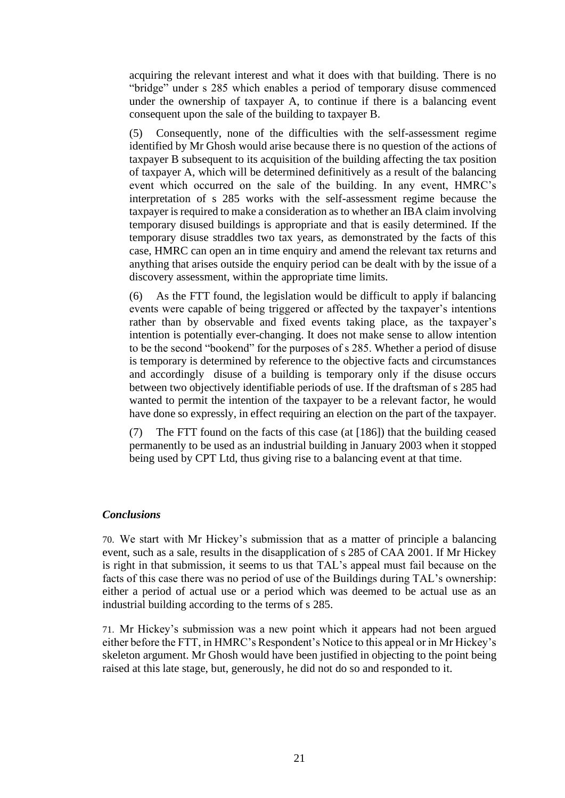acquiring the relevant interest and what it does with that building. There is no "bridge" under s 285 which enables a period of temporary disuse commenced under the ownership of taxpayer A, to continue if there is a balancing event consequent upon the sale of the building to taxpayer B.

(5) Consequently, none of the difficulties with the self-assessment regime identified by Mr Ghosh would arise because there is no question of the actions of taxpayer B subsequent to its acquisition of the building affecting the tax position of taxpayer A, which will be determined definitively as a result of the balancing event which occurred on the sale of the building. In any event, HMRC's interpretation of s 285 works with the self-assessment regime because the taxpayer is required to make a consideration as to whether an IBA claim involving temporary disused buildings is appropriate and that is easily determined. If the temporary disuse straddles two tax years, as demonstrated by the facts of this case, HMRC can open an in time enquiry and amend the relevant tax returns and anything that arises outside the enquiry period can be dealt with by the issue of a discovery assessment, within the appropriate time limits.

(6) As the FTT found, the legislation would be difficult to apply if balancing events were capable of being triggered or affected by the taxpayer's intentions rather than by observable and fixed events taking place, as the taxpayer's intention is potentially ever-changing. It does not make sense to allow intention to be the second "bookend" for the purposes of s 285. Whether a period of disuse is temporary is determined by reference to the objective facts and circumstances and accordingly disuse of a building is temporary only if the disuse occurs between two objectively identifiable periods of use. If the draftsman of s 285 had wanted to permit the intention of the taxpayer to be a relevant factor, he would have done so expressly, in effect requiring an election on the part of the taxpayer.

(7) The FTT found on the facts of this case (at [186]) that the building ceased permanently to be used as an industrial building in January 2003 when it stopped being used by CPT Ltd, thus giving rise to a balancing event at that time.

#### *Conclusions*

70. We start with Mr Hickey's submission that as a matter of principle a balancing event, such as a sale, results in the disapplication of s 285 of CAA 2001. If Mr Hickey is right in that submission, it seems to us that TAL's appeal must fail because on the facts of this case there was no period of use of the Buildings during TAL's ownership: either a period of actual use or a period which was deemed to be actual use as an industrial building according to the terms of s 285.

71. Mr Hickey's submission was a new point which it appears had not been argued either before the FTT, in HMRC's Respondent's Notice to this appeal or in Mr Hickey's skeleton argument. Mr Ghosh would have been justified in objecting to the point being raised at this late stage, but, generously, he did not do so and responded to it.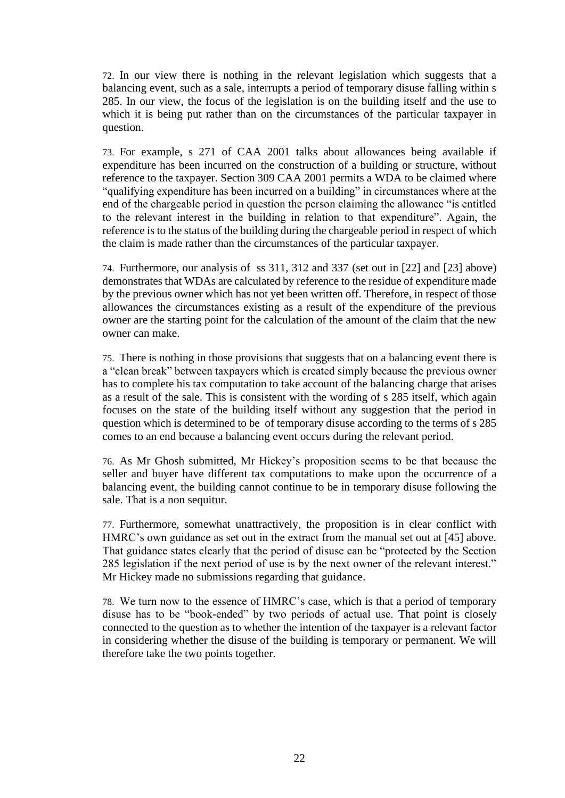72. In our view there is nothing in the relevant legislation which suggests that a balancing event, such as a sale, interrupts a period of temporary disuse falling within s 285. In our view, the focus of the legislation is on the building itself and the use to which it is being put rather than on the circumstances of the particular taxpayer in question.

73. For example, s 271 of CAA 2001 talks about allowances being available if expenditure has been incurred on the construction of a building or structure, without reference to the taxpayer. Section 309 CAA 2001 permits a WDA to be claimed where "qualifying expenditure has been incurred on a building" in circumstances where at the end of the chargeable period in question the person claiming the allowance "is entitled to the relevant interest in the building in relation to that expenditure". Again, the reference is to the status of the building during the chargeable period in respect of which the claim is made rather than the circumstances of the particular taxpayer.

74. Furthermore, our analysis of ss 311, 312 and 337 (set out in [22] and [23] above) demonstrates that WDAs are calculated by reference to the residue of expenditure made by the previous owner which has not yet been written off. Therefore, in respect of those allowances the circumstances existing as a result of the expenditure of the previous owner are the starting point for the calculation of the amount of the claim that the new owner can make.

75. There is nothing in those provisions that suggests that on a balancing event there is a "clean break" between taxpayers which is created simply because the previous owner has to complete his tax computation to take account of the balancing charge that arises as a result of the sale. This is consistent with the wording of s 285 itself, which again focuses on the state of the building itself without any suggestion that the period in question which is determined to be of temporary disuse according to the terms of s 285 comes to an end because a balancing event occurs during the relevant period.

76. As Mr Ghosh submitted, Mr Hickey's proposition seems to be that because the seller and buyer have different tax computations to make upon the occurrence of a balancing event, the building cannot continue to be in temporary disuse following the sale. That is a non sequitur.

77. Furthermore, somewhat unattractively, the proposition is in clear conflict with HMRC's own guidance as set out in the extract from the manual set out at [45] above. That guidance states clearly that the period of disuse can be "protected by the Section 285 legislation if the next period of use is by the next owner of the relevant interest." Mr Hickey made no submissions regarding that guidance.

78. We turn now to the essence of HMRC's case, which is that a period of temporary disuse has to be "book-ended" by two periods of actual use. That point is closely connected to the question as to whether the intention of the taxpayer is a relevant factor in considering whether the disuse of the building is temporary or permanent. We will therefore take the two points together.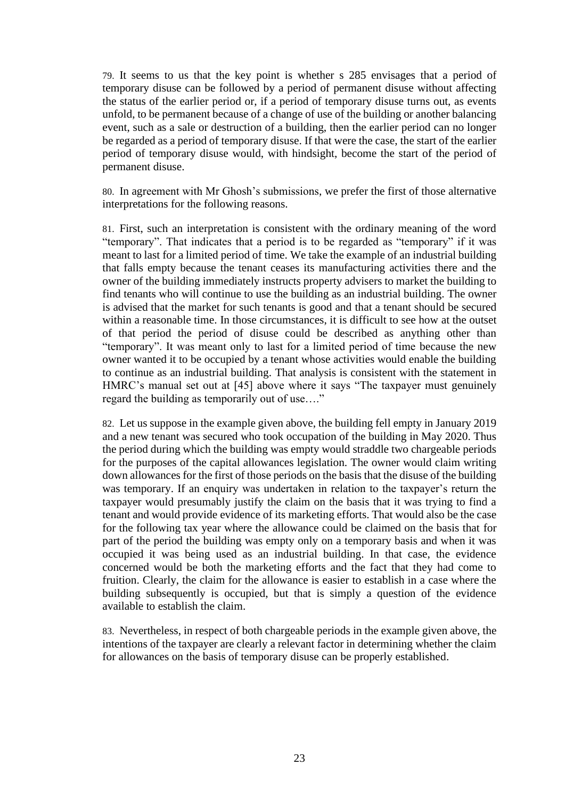79. It seems to us that the key point is whether s 285 envisages that a period of temporary disuse can be followed by a period of permanent disuse without affecting the status of the earlier period or, if a period of temporary disuse turns out, as events unfold, to be permanent because of a change of use of the building or another balancing event, such as a sale or destruction of a building, then the earlier period can no longer be regarded as a period of temporary disuse. If that were the case, the start of the earlier period of temporary disuse would, with hindsight, become the start of the period of permanent disuse.

80. In agreement with Mr Ghosh's submissions, we prefer the first of those alternative interpretations for the following reasons.

81. First, such an interpretation is consistent with the ordinary meaning of the word "temporary". That indicates that a period is to be regarded as "temporary" if it was meant to last for a limited period of time. We take the example of an industrial building that falls empty because the tenant ceases its manufacturing activities there and the owner of the building immediately instructs property advisers to market the building to find tenants who will continue to use the building as an industrial building. The owner is advised that the market for such tenants is good and that a tenant should be secured within a reasonable time. In those circumstances, it is difficult to see how at the outset of that period the period of disuse could be described as anything other than "temporary". It was meant only to last for a limited period of time because the new owner wanted it to be occupied by a tenant whose activities would enable the building to continue as an industrial building. That analysis is consistent with the statement in HMRC's manual set out at [45] above where it says "The taxpayer must genuinely regard the building as temporarily out of use…."

82. Let us suppose in the example given above, the building fell empty in January 2019 and a new tenant was secured who took occupation of the building in May 2020. Thus the period during which the building was empty would straddle two chargeable periods for the purposes of the capital allowances legislation. The owner would claim writing down allowances for the first of those periods on the basis that the disuse of the building was temporary. If an enquiry was undertaken in relation to the taxpayer's return the taxpayer would presumably justify the claim on the basis that it was trying to find a tenant and would provide evidence of its marketing efforts. That would also be the case for the following tax year where the allowance could be claimed on the basis that for part of the period the building was empty only on a temporary basis and when it was occupied it was being used as an industrial building. In that case, the evidence concerned would be both the marketing efforts and the fact that they had come to fruition. Clearly, the claim for the allowance is easier to establish in a case where the building subsequently is occupied, but that is simply a question of the evidence available to establish the claim.

83. Nevertheless, in respect of both chargeable periods in the example given above, the intentions of the taxpayer are clearly a relevant factor in determining whether the claim for allowances on the basis of temporary disuse can be properly established.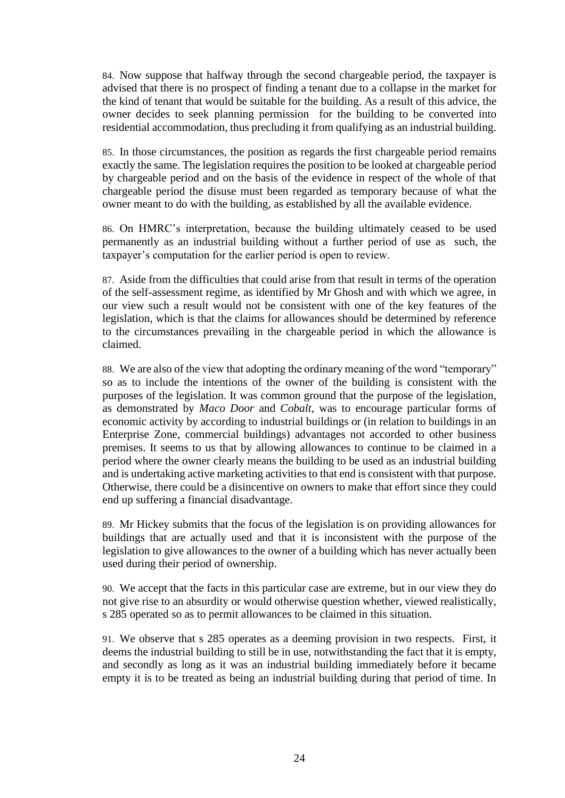84. Now suppose that halfway through the second chargeable period, the taxpayer is advised that there is no prospect of finding a tenant due to a collapse in the market for the kind of tenant that would be suitable for the building. As a result of this advice, the owner decides to seek planning permission for the building to be converted into residential accommodation, thus precluding it from qualifying as an industrial building.

85. In those circumstances, the position as regards the first chargeable period remains exactly the same. The legislation requires the position to be looked at chargeable period by chargeable period and on the basis of the evidence in respect of the whole of that chargeable period the disuse must been regarded as temporary because of what the owner meant to do with the building, as established by all the available evidence.

86. On HMRC's interpretation, because the building ultimately ceased to be used permanently as an industrial building without a further period of use as such, the taxpayer's computation for the earlier period is open to review.

87. Aside from the difficulties that could arise from that result in terms of the operation of the self-assessment regime, as identified by Mr Ghosh and with which we agree, in our view such a result would not be consistent with one of the key features of the legislation, which is that the claims for allowances should be determined by reference to the circumstances prevailing in the chargeable period in which the allowance is claimed.

88. We are also of the view that adopting the ordinary meaning of the word "temporary" so as to include the intentions of the owner of the building is consistent with the purposes of the legislation. It was common ground that the purpose of the legislation, as demonstrated by *Maco Door* and *Cobalt*, was to encourage particular forms of economic activity by according to industrial buildings or (in relation to buildings in an Enterprise Zone, commercial buildings) advantages not accorded to other business premises. It seems to us that by allowing allowances to continue to be claimed in a period where the owner clearly means the building to be used as an industrial building and is undertaking active marketing activities to that end is consistent with that purpose. Otherwise, there could be a disincentive on owners to make that effort since they could end up suffering a financial disadvantage.

89. Mr Hickey submits that the focus of the legislation is on providing allowances for buildings that are actually used and that it is inconsistent with the purpose of the legislation to give allowances to the owner of a building which has never actually been used during their period of ownership.

90. We accept that the facts in this particular case are extreme, but in our view they do not give rise to an absurdity or would otherwise question whether, viewed realistically, s 285 operated so as to permit allowances to be claimed in this situation.

91. We observe that s 285 operates as a deeming provision in two respects. First, it deems the industrial building to still be in use, notwithstanding the fact that it is empty, and secondly as long as it was an industrial building immediately before it became empty it is to be treated as being an industrial building during that period of time. In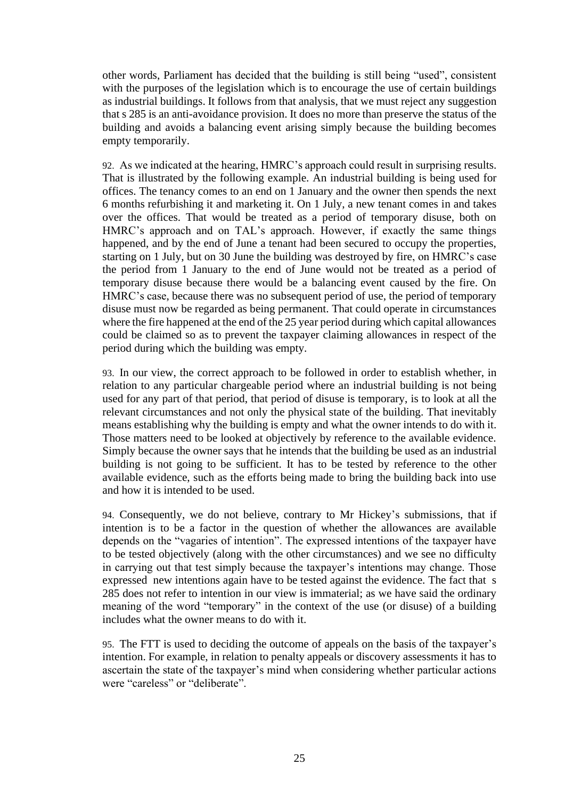other words, Parliament has decided that the building is still being "used", consistent with the purposes of the legislation which is to encourage the use of certain buildings as industrial buildings. It follows from that analysis, that we must reject any suggestion that s 285 is an anti-avoidance provision. It does no more than preserve the status of the building and avoids a balancing event arising simply because the building becomes empty temporarily.

92. As we indicated at the hearing, HMRC's approach could result in surprising results. That is illustrated by the following example. An industrial building is being used for offices. The tenancy comes to an end on 1 January and the owner then spends the next 6 months refurbishing it and marketing it. On 1 July, a new tenant comes in and takes over the offices. That would be treated as a period of temporary disuse, both on HMRC's approach and on TAL's approach. However, if exactly the same things happened, and by the end of June a tenant had been secured to occupy the properties, starting on 1 July, but on 30 June the building was destroyed by fire, on HMRC's case the period from 1 January to the end of June would not be treated as a period of temporary disuse because there would be a balancing event caused by the fire. On HMRC's case, because there was no subsequent period of use, the period of temporary disuse must now be regarded as being permanent. That could operate in circumstances where the fire happened at the end of the 25 year period during which capital allowances could be claimed so as to prevent the taxpayer claiming allowances in respect of the period during which the building was empty.

93. In our view, the correct approach to be followed in order to establish whether, in relation to any particular chargeable period where an industrial building is not being used for any part of that period, that period of disuse is temporary, is to look at all the relevant circumstances and not only the physical state of the building. That inevitably means establishing why the building is empty and what the owner intends to do with it. Those matters need to be looked at objectively by reference to the available evidence. Simply because the owner says that he intends that the building be used as an industrial building is not going to be sufficient. It has to be tested by reference to the other available evidence, such as the efforts being made to bring the building back into use and how it is intended to be used.

94. Consequently, we do not believe, contrary to Mr Hickey's submissions, that if intention is to be a factor in the question of whether the allowances are available depends on the "vagaries of intention". The expressed intentions of the taxpayer have to be tested objectively (along with the other circumstances) and we see no difficulty in carrying out that test simply because the taxpayer's intentions may change. Those expressed new intentions again have to be tested against the evidence. The fact that s 285 does not refer to intention in our view is immaterial; as we have said the ordinary meaning of the word "temporary" in the context of the use (or disuse) of a building includes what the owner means to do with it.

95. The FTT is used to deciding the outcome of appeals on the basis of the taxpayer's intention. For example, in relation to penalty appeals or discovery assessments it has to ascertain the state of the taxpayer's mind when considering whether particular actions were "careless" or "deliberate".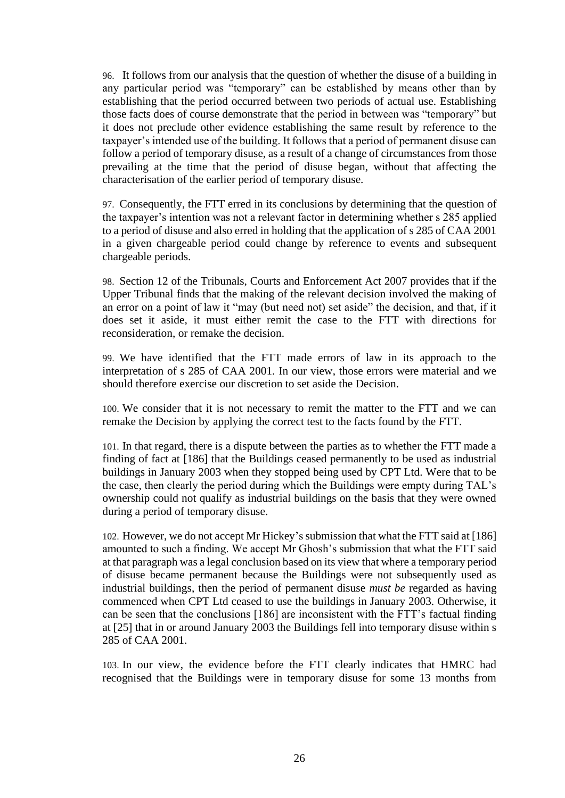96. It follows from our analysis that the question of whether the disuse of a building in any particular period was "temporary" can be established by means other than by establishing that the period occurred between two periods of actual use. Establishing those facts does of course demonstrate that the period in between was "temporary" but it does not preclude other evidence establishing the same result by reference to the taxpayer's intended use of the building. It follows that a period of permanent disuse can follow a period of temporary disuse, as a result of a change of circumstances from those prevailing at the time that the period of disuse began, without that affecting the characterisation of the earlier period of temporary disuse.

97. Consequently, the FTT erred in its conclusions by determining that the question of the taxpayer's intention was not a relevant factor in determining whether s 285 applied to a period of disuse and also erred in holding that the application of s 285 of CAA 2001 in a given chargeable period could change by reference to events and subsequent chargeable periods.

98. Section 12 of the Tribunals, Courts and Enforcement Act 2007 provides that if the Upper Tribunal finds that the making of the relevant decision involved the making of an error on a point of law it "may (but need not) set aside" the decision, and that, if it does set it aside, it must either remit the case to the FTT with directions for reconsideration, or remake the decision.

99. We have identified that the FTT made errors of law in its approach to the interpretation of s 285 of CAA 2001. In our view, those errors were material and we should therefore exercise our discretion to set aside the Decision.

100. We consider that it is not necessary to remit the matter to the FTT and we can remake the Decision by applying the correct test to the facts found by the FTT.

101. In that regard, there is a dispute between the parties as to whether the FTT made a finding of fact at [186] that the Buildings ceased permanently to be used as industrial buildings in January 2003 when they stopped being used by CPT Ltd. Were that to be the case, then clearly the period during which the Buildings were empty during TAL's ownership could not qualify as industrial buildings on the basis that they were owned during a period of temporary disuse.

102. However, we do not accept Mr Hickey's submission that what the FTT said at [186] amounted to such a finding. We accept Mr Ghosh's submission that what the FTT said at that paragraph was a legal conclusion based on its view that where a temporary period of disuse became permanent because the Buildings were not subsequently used as industrial buildings, then the period of permanent disuse *must be* regarded as having commenced when CPT Ltd ceased to use the buildings in January 2003. Otherwise, it can be seen that the conclusions [186] are inconsistent with the FTT's factual finding at [25] that in or around January 2003 the Buildings fell into temporary disuse within s 285 of CAA 2001.

103. In our view, the evidence before the FTT clearly indicates that HMRC had recognised that the Buildings were in temporary disuse for some 13 months from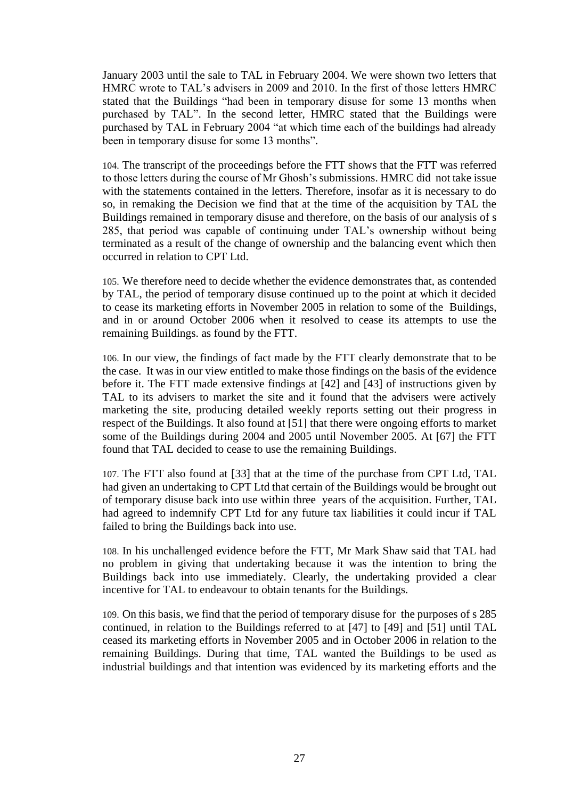January 2003 until the sale to TAL in February 2004. We were shown two letters that HMRC wrote to TAL's advisers in 2009 and 2010. In the first of those letters HMRC stated that the Buildings "had been in temporary disuse for some 13 months when purchased by TAL". In the second letter, HMRC stated that the Buildings were purchased by TAL in February 2004 "at which time each of the buildings had already been in temporary disuse for some 13 months".

104. The transcript of the proceedings before the FTT shows that the FTT was referred to those letters during the course of Mr Ghosh's submissions. HMRC did not take issue with the statements contained in the letters. Therefore, insofar as it is necessary to do so, in remaking the Decision we find that at the time of the acquisition by TAL the Buildings remained in temporary disuse and therefore, on the basis of our analysis of s 285, that period was capable of continuing under TAL's ownership without being terminated as a result of the change of ownership and the balancing event which then occurred in relation to CPT Ltd.

105. We therefore need to decide whether the evidence demonstrates that, as contended by TAL, the period of temporary disuse continued up to the point at which it decided to cease its marketing efforts in November 2005 in relation to some of the Buildings, and in or around October 2006 when it resolved to cease its attempts to use the remaining Buildings. as found by the FTT.

106. In our view, the findings of fact made by the FTT clearly demonstrate that to be the case. It was in our view entitled to make those findings on the basis of the evidence before it. The FTT made extensive findings at [42] and [43] of instructions given by TAL to its advisers to market the site and it found that the advisers were actively marketing the site, producing detailed weekly reports setting out their progress in respect of the Buildings. It also found at [51] that there were ongoing efforts to market some of the Buildings during 2004 and 2005 until November 2005. At [67] the FTT found that TAL decided to cease to use the remaining Buildings.

107. The FTT also found at [33] that at the time of the purchase from CPT Ltd, TAL had given an undertaking to CPT Ltd that certain of the Buildings would be brought out of temporary disuse back into use within three years of the acquisition. Further, TAL had agreed to indemnify CPT Ltd for any future tax liabilities it could incur if TAL failed to bring the Buildings back into use.

108. In his unchallenged evidence before the FTT, Mr Mark Shaw said that TAL had no problem in giving that undertaking because it was the intention to bring the Buildings back into use immediately. Clearly, the undertaking provided a clear incentive for TAL to endeavour to obtain tenants for the Buildings.

109. On this basis, we find that the period of temporary disuse for the purposes of s 285 continued, in relation to the Buildings referred to at [47] to [49] and [51] until TAL ceased its marketing efforts in November 2005 and in October 2006 in relation to the remaining Buildings. During that time, TAL wanted the Buildings to be used as industrial buildings and that intention was evidenced by its marketing efforts and the